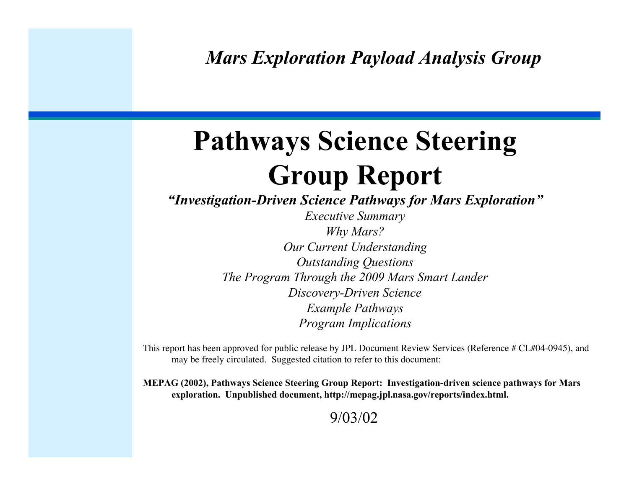*Mars Exploration Payload Analysis Group*

# Pathways Science Steering Group Report

*"Investigation-Driven Science Pathways for Mars Exploration"*

*Executive Summary Why Mars? Our Current Understanding Outstanding Questions The Program Through the 2009 Mars Smart Lander Discovery-Driven Science Example Pathways Program Implications*

This report has been approved for public release by JPL Document Review Services (Reference # CL#04-0945), and may be freely circulated. Suggested citation to refer to this document:

MEPAG (2002), Pathways Science Steering Group Report: Investigation-driven science pathways for Mars exploration. Unpublished document, http://mepag.jpl.nasa.gov/reports/index.html.

9/03/02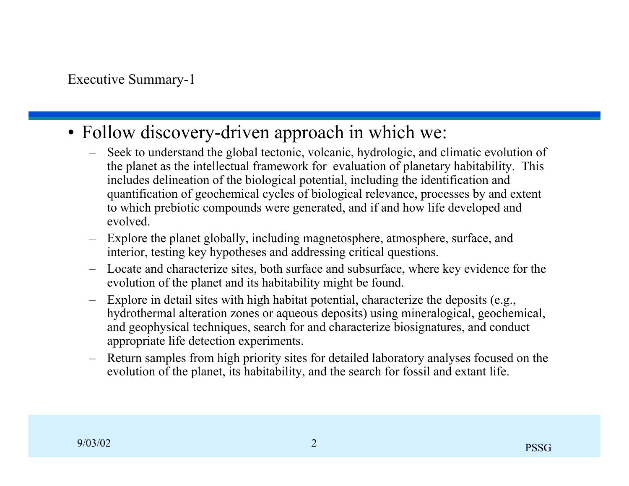- Follow discovery-driven approach in which we:
	- Seek to understand the global tectonic, volcanic, hydrologic, and climatic evolution of the planet as the intellectual framework for evaluation of planetary habitability. This includes delineation of the biological potential, including the identification and quantification of geochemical cycles of biological relevance, processes by and extent to which prebiotic compounds were generated, and if and how life developed and evolved.
	- Explore the planet globally, including magnetosphere, atmosphere, surface, and interior, testing key hypotheses and addressing critical questions.
	- Locate and characterize sites, both surface and subsurface, where key evidence for the evolution of the planet and its habitability might be found.
	- Explore in detail sites with high habitat potential, characterize the deposits (e.g., hydrothermal alteration zones or aqueous deposits) using mineralogical, geochemical, and geophysical techniques, search for and characterize biosignatures, and conduct appropriate life detection experiments.
	- Return samples from high priority sites for detailed laboratory analyses focused on the evolution of the planet, its habitability, and the search for fossil and extant life.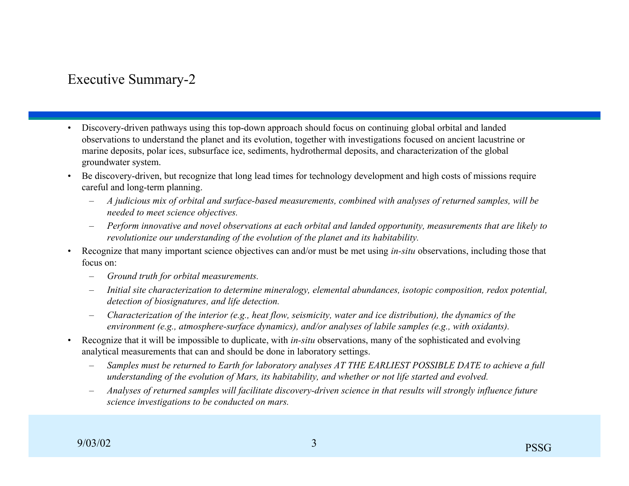### Executive Summary-2

- Discovery-driven pathways using this top-down approach should focus on continuing global orbital and landed observations to understand the planet and its evolution, together with investigations focused on ancient lacustrine or marine deposits, polar ices, subsurface ice, sediments, hydrothermal deposits, and characterization of the global groundwater system.
- Be discovery-driven, but recognize that long lead times for technology development and high costs of missions require careful and long-term planning.
	- *A judicious mix of orbital and surface-based measurements, combined with analyses of returned samples, will be needed to meet science objectives.*
	- *Perform innovative and novel observations at each orbital and landed opportunity, measurements that are likely to revolutionize our understanding of the evolution of the planet and its habitability.*
- Recognize that many important science objectives can and/or must be met using *in-situ* observations, including those that focus on:
	- *Ground truth for orbital measurements.*
	- *Initial site characterization to determine mineralogy, elemental abundances, isotopic composition, redox potential, detection of biosignatures, and life detection.*
	- *Characterization of the interior (e.g., heat flow, seismicity, water and ice distribution), the dynamics of the environment (e.g., atmosphere-surface dynamics), and/or analyses of labile samples (e.g., with oxidants).*
- Recognize that it will be impossible to duplicate, with *in-situ* observations, many of the sophisticated and evolving analytical measurements that can and should be done in laboratory settings.
	- *Samples must be returned to Earth for laboratory analyses AT THE EARLIEST POSSIBLE DATE to achieve a full understanding of the evolution of Mars, its habitability, and whether or not life started and evolved.*
	- *Analyses of returned samples will facilitate discovery-driven science in that results will strongly influence future science investigations to be conducted on mars.*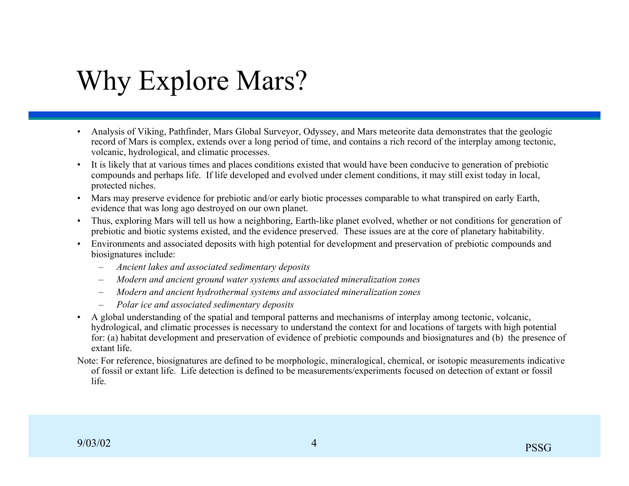# Why Explore Mars?

- Analysis of Viking, Pathfinder, Mars Global Surveyor, Odyssey, and Mars meteorite data demonstrates that the geologic record of Mars is complex, extends over a long period of time, and contains a rich record of the interplay among tectonic, volcanic, hydrological, and climatic processes.
- It is likely that at various times and places conditions existed that would have been conducive to generation of prebiotic compounds and perhaps life. If life developed and evolved under clement conditions, it may still exist today in local, protected niches.
- Mars may preserve evidence for prebiotic and/or early biotic processes comparable to what transpired on early Earth, evidence that was long ago destroyed on our own planet.
- Thus, exploring Mars will tell us how a neighboring, Earth-like planet evolved, whether or not conditions for generation of prebiotic and biotic systems existed, and the evidence preserved. These issues are at the core of planetary habitability.
- Environments and associated deposits with high potential for development and preservation of prebiotic compounds and biosignatures include:
	- *Ancient lakes and associated sedimentary deposits*
	- *Modern and ancient ground water systems and associated mineralization zones*
	- *Modern and ancient hydrothermal systems and associated mineralization zones*
	- *Polar ice and associated sedimentary deposits*
- A global understanding of the spatial and temporal patterns and mechanisms of interplay among tectonic, volcanic, hydrological, and climatic processes is necessary to understand the context for and locations of targets with high potential for: (a) habitat development and preservation of evidence of prebiotic compounds and biosignatures and (b) the presence of extant life.
- Note: For reference, biosignatures are defined to be morphologic, mineralogical, chemical, or isotopic measurements indicative of fossil or extant life. Life detection is defined to be measurements/experiments focused on detection of extant or fossil life.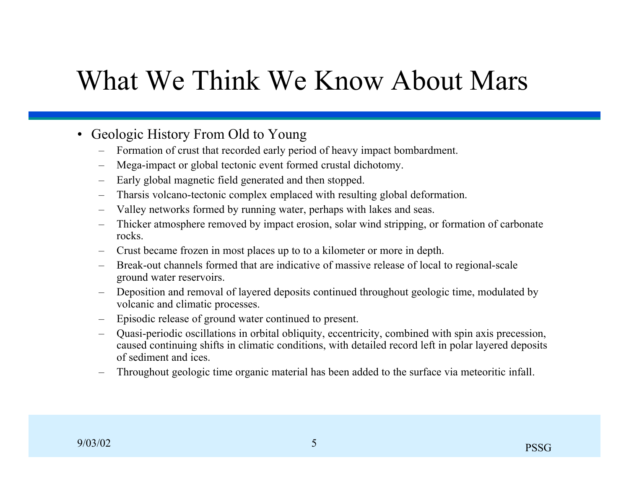# What We Think We Know About Mars

- Geologic History From Old to Young
	- Formation of crust that recorded early period of heavy impact bombardment.
	- Mega-impact or global tectonic event formed crustal dichotomy.
	- Early global magnetic field generated and then stopped.
	- Tharsis volcano-tectonic complex emplaced with resulting global deformation.
	- Valley networks formed by running water, perhaps with lakes and seas.
	- Thicker atmosphere removed by impact erosion, solar wind stripping, or formation of carbonate rocks.
	- Crust became frozen in most places up to to a kilometer or more in depth.
	- Break-out channels formed that are indicative of massive release of local to regional-scale ground water reservoirs.
	- Deposition and removal of layered deposits continued throughout geologic time, modulated by volcanic and climatic processes.
	- Episodic release of ground water continued to present.
	- Quasi-periodic oscillations in orbital obliquity, eccentricity, combined with spin axis precession, caused continuing shifts in climatic conditions, with detailed record left in polar layered deposits of sediment and ices.
	- Throughout geologic time organic material has been added to the surface via meteoritic infall.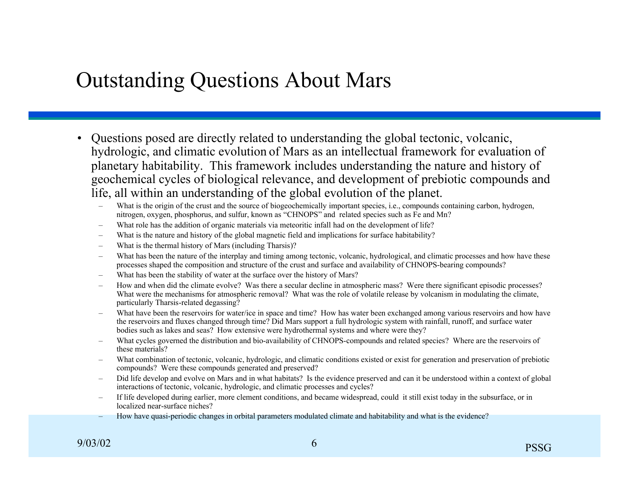## Outstanding Questions About Mars

- Questions posed are directly related to understanding the global tectonic, volcanic, hydrologic, and climatic evolution of Mars as an intellectual framework for evaluation of planetary habitability. This framework includes understanding the nature and history of geochemical cycles of biological relevance, and development of prebiotic compounds and life, all within an understanding of the global evolution of the planet.
	- What is the origin of the crust and the source of biogeochemically important species, i.e., compounds containing carbon, hydrogen, nitrogen, oxygen, phosphorus, and sulfur, known as "CHNOPS" and related species such as Fe and Mn?
	- What role has the addition of organic materials via meteoritic infall had on the development of life?
	- What is the nature and history of the global magnetic field and implications for surface habitability?
	- What is the thermal history of Mars (including Tharsis)?
	- What has been the nature of the interplay and timing among tectonic, volcanic, hydrological, and climatic processes and how have these processes shaped the composition and structure of the crust and surface and availability of CHNOPS-bearing compounds?
	- What has been the stability of water at the surface over the history of Mars?
	- How and when did the climate evolve? Was there a secular decline in atmospheric mass? Were there significant episodic processes? What were the mechanisms for atmospheric removal? What was the role of volatile release by volcanism in modulating the climate, particularly Tharsis-related degassing?
	- What have been the reservoirs for water/ice in space and time? How has water been exchanged among various reservoirs and how have the reservoirs and fluxes changed through time? Did Mars support a full hydrologic system with rainfall, runoff, and surface water bodies such as lakes and seas? How extensive were hydrothermal systems and where were they?
	- What cycles governed the distribution and bio-availability of CHNOPS-compounds and related species? Where are the reservoirs of these materials?
	- What combination of tectonic, volcanic, hydrologic, and climatic conditions existed or exist for generation and preservation of prebiotic compounds? Were these compounds generated and preserved?
	- Did life develop and evolve on Mars and in what habitats? Is the evidence preserved and can it be understood within a context of global interactions of tectonic, volcanic, hydrologic, and climatic processes and cycles?
	- If life developed during earlier, more clement conditions, and became widespread, could it still exist today in the subsurface, or in localized near-surface niches?
	- How have quasi-periodic changes in orbital parameters modulated climate and habitability and what is the evidence?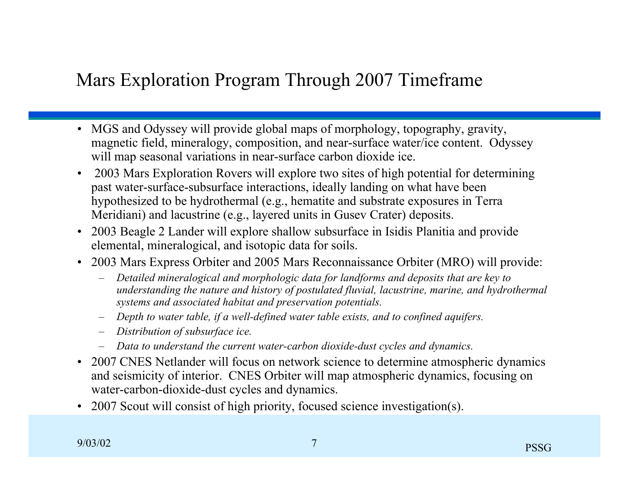### Mars Exploration Program Through 2007 Timeframe

- MGS and Odyssey will provide global maps of morphology, topography, gravity, magnetic field, mineralogy, composition, and near-surface water/ice content. Odyssey will map seasonal variations in near-surface carbon dioxide ice.
- 2003 Mars Exploration Rovers will explore two sites of high potential for determining past water-surface-subsurface interactions, ideally landing on what have been hypothesized to be hydrothermal (e.g., hematite and substrate exposures in Terra Meridiani) and lacustrine (e.g., layered units in Gusev Crater) deposits.
- 2003 Beagle 2 Lander will explore shallow subsurface in Isidis Planitia and provide elemental, mineralogical, and isotopic data for soils.
- 2003 Mars Express Orbiter and 2005 Mars Reconnaissance Orbiter (MRO) will provide:
	- *Detailed mineralogical and morphologic data for landforms and deposits that are key to understanding the nature and history of postulated fluvial, lacustrine, marine, and hydrothermal systems and associated habitat and preservation potentials.*
	- *Depth to water table, if a well-defined water table exists, and to confined aquifers.*
	- *Distribution of subsurface ice.*
	- *Data to understand the current water-carbon dioxide-dust cycles and dynamics.*
- 2007 CNES Netlander will focus on network science to determine atmospheric dynamics and seismicity of interior. CNES Orbiter will map atmospheric dynamics, focusing on water-carbon-dioxide-dust cycles and dynamics.
- 2007 Scout will consist of high priority, focused science investigation(s).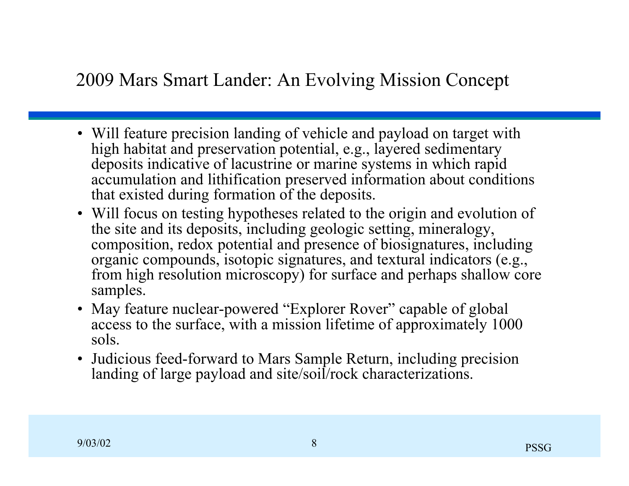### 2009 Mars Smart Lander: An Evolving Mission Concept

- Will feature precision landing of vehicle and payload on target with high habitat and preservation potential, e.g., layered sedimentary deposits indicative of lacustrine or marine systems in which rapid accumulation and lithification preserved information about conditions that existed during formation of the deposits.
- Will focus on testing hypotheses related to the origin and evolution of the site and its deposits, including geologic setting, mineralogy, composition, redox potential and presence of biosignatures, including organic compounds, isotopic signatures, and textural indicators (e.g., from high resolution microscopy) for surface and perhaps shallow core samples.
- May feature nuclear-powered "Explorer Rover" capable of global access to the surface, with a mission lifetime of approximately 1000 sols.
- Judicious feed-forward to Mars Sample Return, including precision landing of large payload and site/soil/rock characterizations.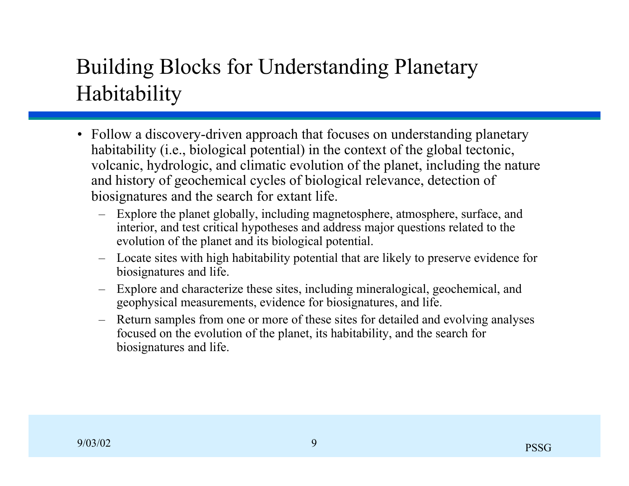## Building Blocks for Understanding Planetary Habitability

- Follow a discovery-driven approach that focuses on understanding planetary habitability (i.e., biological potential) in the context of the global tectonic, volcanic, hydrologic, and climatic evolution of the planet, including the nature and history of geochemical cycles of biological relevance, detection of biosignatures and the search for extant life.
	- Explore the planet globally, including magnetosphere, atmosphere, surface, and interior, and test critical hypotheses and address major questions related to the evolution of the planet and its biological potential.
	- Locate sites with high habitability potential that are likely to preserve evidence for biosignatures and life.
	- Explore and characterize these sites, including mineralogical, geochemical, and geophysical measurements, evidence for biosignatures, and life.
	- Return samples from one or more of these sites for detailed and evolving analyses focused on the evolution of the planet, its habitability, and the search for biosignatures and life.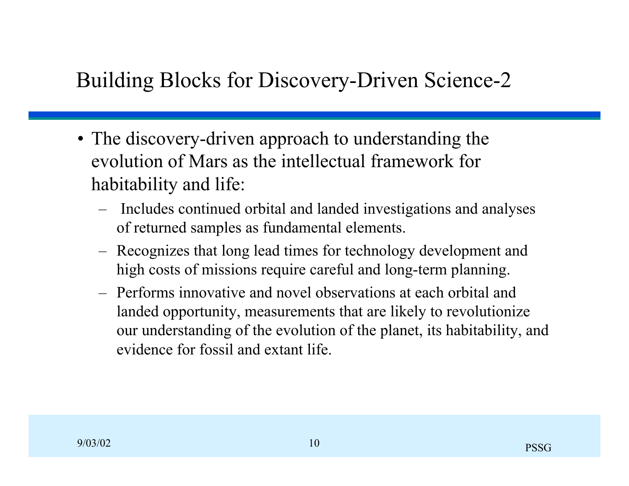## Building Blocks for Discovery-Driven Science-2

- The discovery-driven approach to understanding the evolution of Mars as the intellectual framework for habitability and life:
	- Includes continued orbital and landed investigations and analyses of returned samples as fundamental elements.
	- Recognizes that long lead times for technology development and high costs of missions require careful and long-term planning.
	- Performs innovative and novel observations at each orbital and landed opportunity, measurements that are likely to revolutionize our understanding of the evolution of the planet, its habitability, and evidence for fossil and extant life.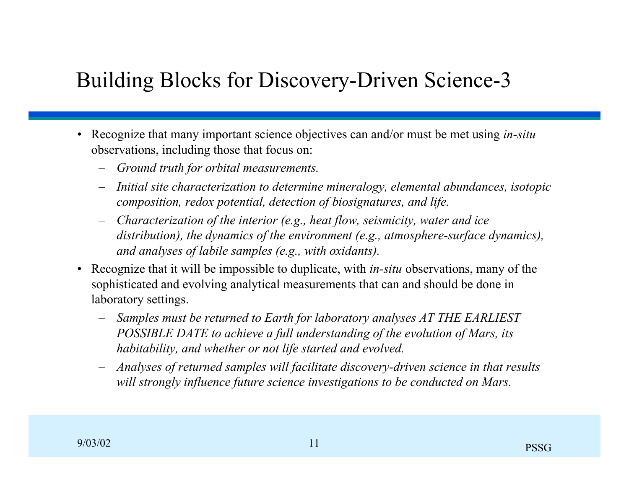## Building Blocks for Discovery-Driven Science-3

- Recognize that many important science objectives can and/or must be met using *in-situ* observations, including those that focus on:
	- *Ground truth for orbital measurements.*
	- *Initial site characterization to determine mineralogy, elemental abundances, isotopic composition, redox potential, detection of biosignatures, and life.*
	- *Characterization of the interior (e.g., heat flow, seismicity, water and ice distribution), the dynamics of the environment (e.g., atmosphere-surface dynamics), and analyses of labile samples (e.g., with oxidants).*
- Recognize that it will be impossible to duplicate, with *in-situ* observations, many of the sophisticated and evolving analytical measurements that can and should be done in laboratory settings.
	- *Samples must be returned to Earth for laboratory analyses AT THE EARLIEST POSSIBLE DATE to achieve a full understanding of the evolution of Mars, its habitability, and whether or not life started and evolved.*
	- *Analyses of returned samples will facilitate discovery-driven science in that results will strongly influence future science investigations to be conducted on Mars.*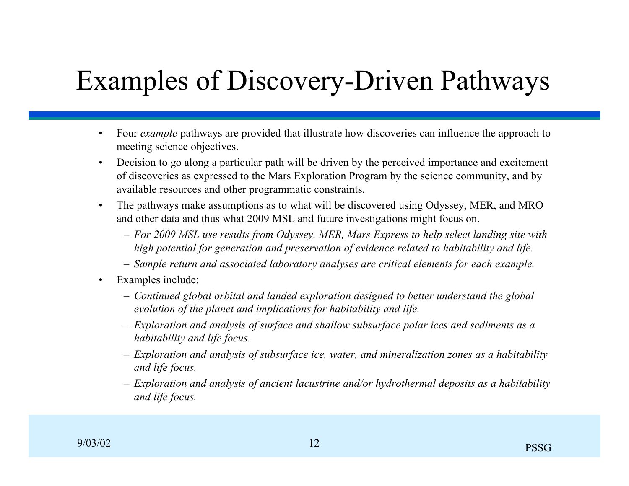# Examples of Discovery-Driven Pathways

- Four *example* pathways are provided that illustrate how discoveries can influence the approach to meeting science objectives.
- Decision to go along a particular path will be driven by the perceived importance and excitement of discoveries as expressed to the Mars Exploration Program by the science community, and by available resources and other programmatic constraints.
- The pathways make assumptions as to what will be discovered using Odyssey, MER, and MRO and other data and thus what 2009 MSL and future investigations might focus on.
	- *For 2009 MSL use results from Odyssey, MER, Mars Express to help select landing site with high potential for generation and preservation of evidence related to habitability and life.*
	- *Sample return and associated laboratory analyses are critical elements for each example.*
- Examples include:
	- *Continued global orbital and landed exploration designed to better understand the global evolution of the planet and implications for habitability and life.*
	- *Exploration and analysis of surface and shallow subsurface polar ices and sediments as a habitability and life focus.*
	- *Exploration and analysis of subsurface ice, water, and mineralization zones as a habitability and life focus.*
	- *Exploration and analysis of ancient lacustrine and/or hydrothermal deposits as a habitability and life focus.*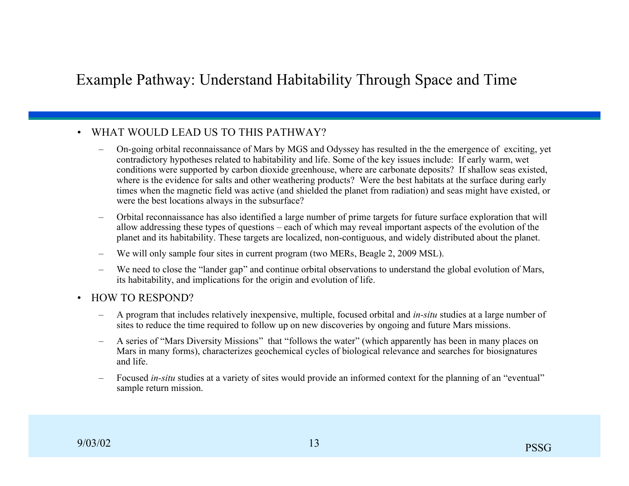### Example Pathway: Understand Habitability Through Space and Time

#### • WHAT WOULD LEAD US TO THIS PATHWAY?

- On-going orbital reconnaissance of Mars by MGS and Odyssey has resulted in the the emergence of exciting, yet contradictory hypotheses related to habitability and life. Some of the key issues include: If early warm, wet conditions were supported by carbon dioxide greenhouse, where are carbonate deposits? If shallow seas existed, where is the evidence for salts and other weathering products? Were the best habitats at the surface during early times when the magnetic field was active (and shielded the planet from radiation) and seas might have existed, or were the best locations always in the subsurface?
- Orbital reconnaissance has also identified a large number of prime targets for future surface exploration that will allow addressing these types of questions – each of which may reveal important aspects of the evolution of the planet and its habitability. These targets are localized, non-contiguous, and widely distributed about the planet.
- We will only sample four sites in current program (two MERs, Beagle 2, 2009 MSL).
- We need to close the "lander gap" and continue orbital observations to understand the global evolution of Mars, its habitability, and implications for the origin and evolution of life.
- HOW TO RESPOND?
	- A program that includes relatively inexpensive, multiple, focused orbital and *in-situ* studies at a large number of sites to reduce the time required to follow up on new discoveries by ongoing and future Mars missions.
	- A series of "Mars Diversity Missions" that "follows the water" (which apparently has been in many places on Mars in many forms), characterizes geochemical cycles of biological relevance and searches for biosignatures and life.
	- Focused *in-situ* studies at a variety of sites would provide an informed context for the planning of an "eventual" sample return mission.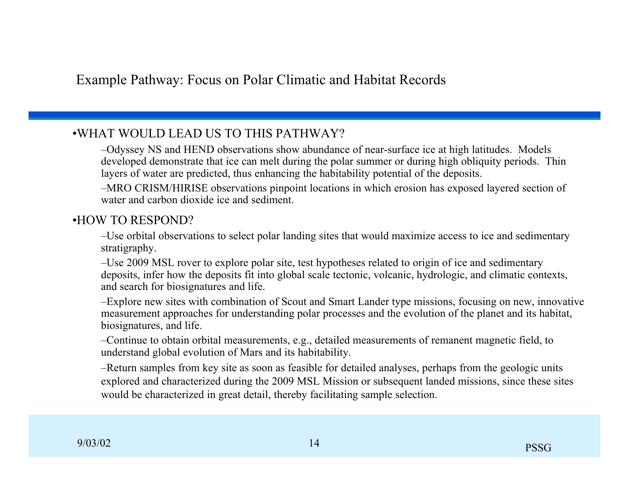#### •WHAT WOULD LEAD US TO THIS PATHWAY?

–Odyssey NS and HEND observations show abundance of near-surface ice at high latitudes. Models developed demonstrate that ice can melt during the polar summer or during high obliquity periods. Thin layers of water are predicted, thus enhancing the habitability potential of the deposits.

–MRO CRISM/HIRISE observations pinpoint locations in which erosion has exposed layered section of water and carbon dioxide ice and sediment.

#### •HOW TO RESPOND?

–Use orbital observations to select polar landing sites that would maximize access to ice and sedimentary stratigraphy.

–Use 2009 MSL rover to explore polar site, test hypotheses related to origin of ice and sedimentary deposits, infer how the deposits fit into global scale tectonic, volcanic, hydrologic, and climatic contexts, and search for biosignatures and life.

–Explore new sites with combination of Scout and Smart Lander type missions, focusing on new, innovative measurement approaches for understanding polar processes and the evolution of the planet and its habitat, biosignatures, and life.

–Continue to obtain orbital measurements, e.g., detailed measurements of remanent magnetic field, to understand global evolution of Mars and its habitability.

–Return samples from key site as soon as feasible for detailed analyses, perhaps from the geologic units explored and characterized during the 2009 MSL Mission or subsequent landed missions, since these sites would be characterized in great detail, thereby facilitating sample selection.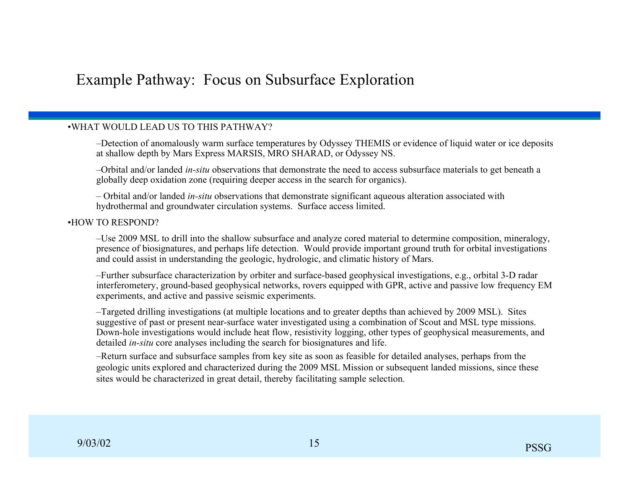### Example Pathway: Focus on Subsurface Exploration

#### •WHAT WOULD LEAD US TO THIS PATHWAY?

–Detection of anomalously warm surface temperatures by Odyssey THEMIS or evidence of liquid water or ice deposits at shallow depth by Mars Express MARSIS, MRO SHARAD, or Odyssey NS.

–Orbital and/or landed *in-situ* observations that demonstrate the need to access subsurface materials to get beneath a globally deep oxidation zone (requiring deeper access in the search for organics).

– Orbital and/or landed *in-situ* observations that demonstrate significant aqueous alteration associated with hydrothermal and groundwater circulation systems. Surface access limited.

#### •HOW TO RESPOND?

–Use 2009 MSL to drill into the shallow subsurface and analyze cored material to determine composition, mineralogy, presence of biosignatures, and perhaps life detection. Would provide important ground truth for orbital investigations and could assist in understanding the geologic, hydrologic, and climatic history of Mars.

–Further subsurface characterization by orbiter and surface-based geophysical investigations, e.g., orbital 3-D radar interferometery, ground-based geophysical networks, rovers equipped with GPR, active and passive low frequency EM experiments, and active and passive seismic experiments.

–Targeted drilling investigations (at multiple locations and to greater depths than achieved by 2009 MSL). Sites suggestive of past or present near-surface water investigated using a combination of Scout and MSL type missions. Down-hole investigations would include heat flow, resistivity logging, other types of geophysical measurements, and detailed *in-situ* core analyses including the search for biosignatures and life.

–Return surface and subsurface samples from key site as soon as feasible for detailed analyses, perhaps from the geologic units explored and characterized during the 2009 MSL Mission or subsequent landed missions, since these sites would be characterized in great detail, thereby facilitating sample selection.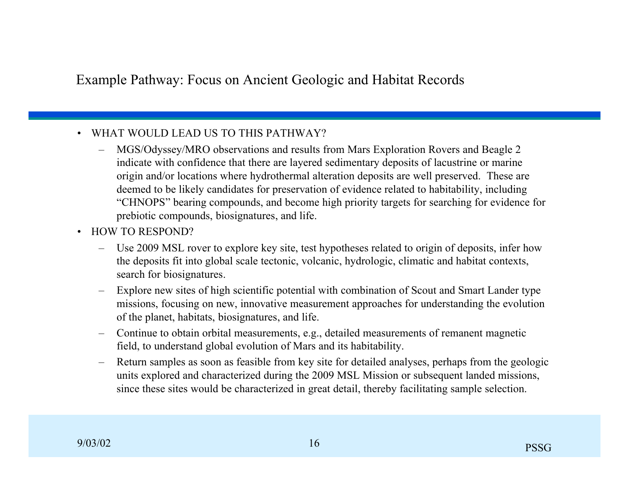### Example Pathway: Focus on Ancient Geologic and Habitat Records

#### • WHAT WOULD LEAD US TO THIS PATHWAY?

- MGS/Odyssey/MRO observations and results from Mars Exploration Rovers and Beagle 2 indicate with confidence that there are layered sedimentary deposits of lacustrine or marine origin and/or locations where hydrothermal alteration deposits are well preserved. These are deemed to be likely candidates for preservation of evidence related to habitability, including "CHNOPS" bearing compounds, and become high priority targets for searching for evidence for prebiotic compounds, biosignatures, and life.
- HOW TO RESPOND?
	- Use 2009 MSL rover to explore key site, test hypotheses related to origin of deposits, infer how the deposits fit into global scale tectonic, volcanic, hydrologic, climatic and habitat contexts, search for biosignatures.
	- Explore new sites of high scientific potential with combination of Scout and Smart Lander type missions, focusing on new, innovative measurement approaches for understanding the evolution of the planet, habitats, biosignatures, and life.
	- Continue to obtain orbital measurements, e.g., detailed measurements of remanent magnetic field, to understand global evolution of Mars and its habitability.
	- Return samples as soon as feasible from key site for detailed analyses, perhaps from the geologic units explored and characterized during the 2009 MSL Mission or subsequent landed missions, since these sites would be characterized in great detail, thereby facilitating sample selection.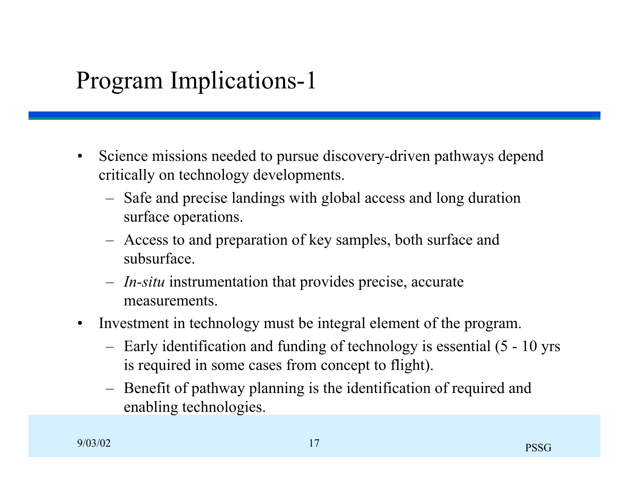## Program Implications-1

- Science missions needed to pursue discovery-driven pathways depend critically on technology developments.
	- Safe and precise landings with global access and long duration surface operations.
	- Access to and preparation of key samples, both surface and subsurface.
	- *In-situ* instrumentation that provides precise, accurate measurements.
- Investment in technology must be integral element of the program.
	- Early identification and funding of technology is essential (5 10 yrs is required in some cases from concept to flight).
	- Benefit of pathway planning is the identification of required and enabling technologies.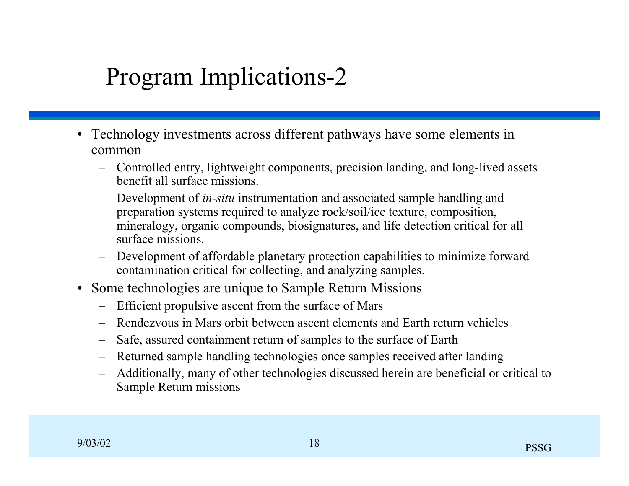## Program Implications-2

- Technology investments across different pathways have some elements in common
	- Controlled entry, lightweight components, precision landing, and long-lived assets benefit all surface missions.
	- Development of *in-situ* instrumentation and associated sample handling and preparation systems required to analyze rock/soil/ice texture, composition, mineralogy, organic compounds, biosignatures, and life detection critical for all surface missions.
	- Development of affordable planetary protection capabilities to minimize forward contamination critical for collecting, and analyzing samples.
- Some technologies are unique to Sample Return Missions
	- Efficient propulsive ascent from the surface of Mars
	- Rendezvous in Mars orbit between ascent elements and Earth return vehicles
	- Safe, assured containment return of samples to the surface of Earth
	- Returned sample handling technologies once samples received after landing
	- Additionally, many of other technologies discussed herein are beneficial or critical to Sample Return missions